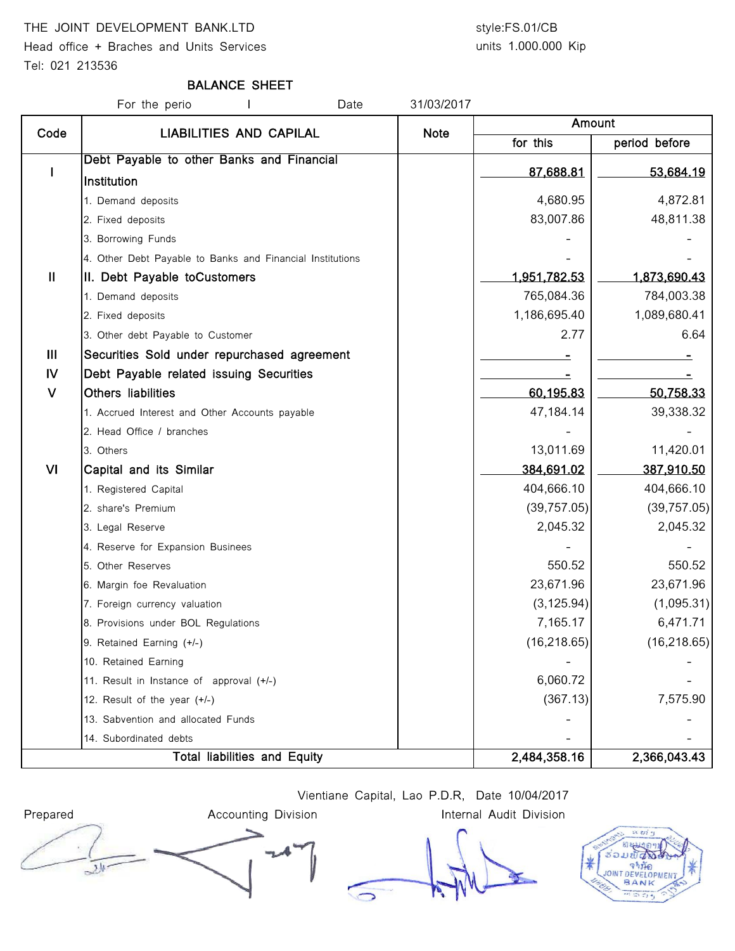### THE JOINT DEVELOPMENT BANK.LTD style:FS.01/CB

Head office + Braches and Units Services Tel: 021 213536

# units 1.000.000 Kip

### BALANCE SHEET

For the perio The Contract Herman Herman Date 31/03/2017 for this **period** before I Debt Payable to other Banks and Financial **Institution** 87,688.81 53,684.19 1. Demand deposits 4,680.95 4,872.81 2. Fixed deposits 83,007.86 48,811.38 3. Borrowing Funds 4. Other Debt Payable to Banks and Financial Institutions II | II. Debt Payable toCustomers 1,951,782.53 | 1,873,690.43 1. Demand deposits 765,084.36 784,003.38 2. Fixed deposits 1,089,680.41 3. Other debt Payable to Customer 2.77 6.64 III Securities Sold under repurchased agreement - - IV | Debt Payable related issuing Securities V Others liabilities 60,195.83 50,758.33 1. Accrued Interest and Other Accounts payable 47,184.14 47,184.14 2. Head Office / branches 3. Others 11,420.01 . [13] 13,011.69 11,420.01 . [13] 13,011.69 11,420.01 . [13] 13,011.69 11,420.01 . [1 VI Capital and its Similar 387,910.50 1. Registered Capital 1. **And Capital 1. Registered Capital 1.** And Capital 2. **404,666.10** 404,666.10 404,666.10 2. share's Premium (39,757.05) (39,757.05) 3. Legal Reserve 2,045.32 2,045.32 4. Reserve for Expansion Businees 5. Other Reserves 550.52 550.52 6. Margin foe Revaluation 23,671.96 23,671.96 7. Foreign currency valuation  $(3,125.94)$  (1,095.31) 8. Provisions under BOL Regulations **7,165.17 6,471.71** 9. Retained Earning (+/-) (16,218.65) (16,218.65) 10. Retained Earning 11. Result in Instance of approval  $(+/-)$  and  $(-)$  and  $(-)$  6,060.72 12. Result of the year (+/-)  $7,575.90$ 13. Sabvention and allocated Funds 14. Subordinated debts 2,484,358.16 2,366,043.43 Total liabilities and Equity Amount Code | LIABILITIES AND CAPILAL | Note

Vientiane Capital, Lao P.D.R, Date 10/04/2017



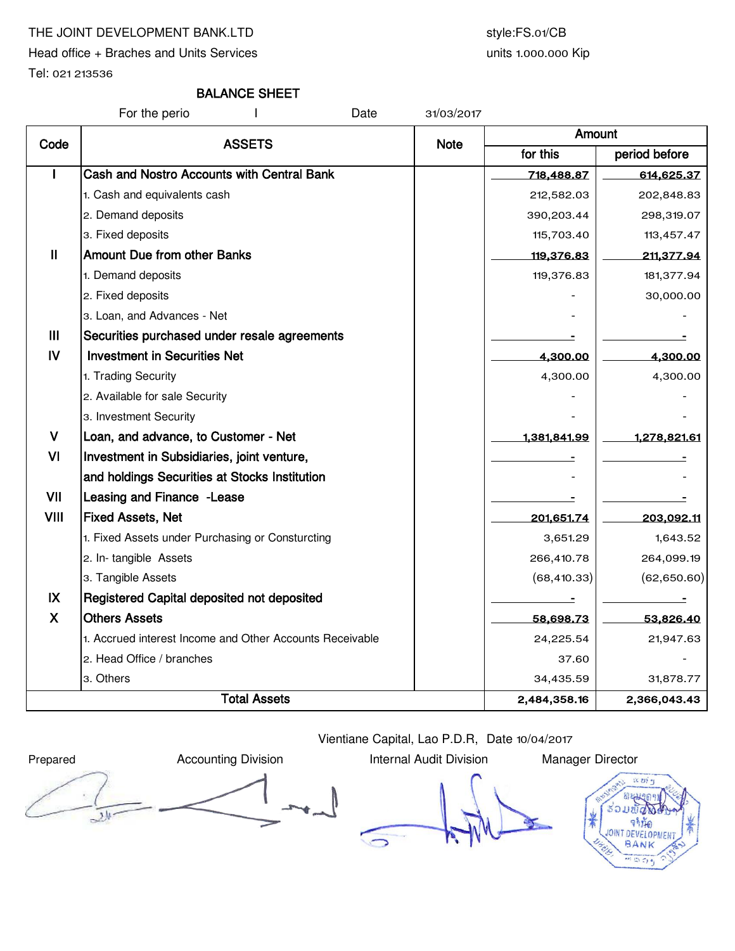# THE JOINT DEVELOPMENT BANK.LTD style:FS.01/CB

Head office + Braches and Units Services

units 1.000.000 Kip

Tel: 021 213536

# BALANCE SHEET

For the perio I Date 31/03/2017

|                | <b>ASSETS</b>                                            |             | Amount       |               |  |  |
|----------------|----------------------------------------------------------|-------------|--------------|---------------|--|--|
| Code           |                                                          | <b>Note</b> | for this     | period before |  |  |
|                | Cash and Nostro Accounts with Central Bank               |             | 718,488.87   | 614,625.37    |  |  |
|                | 1. Cash and equivalents cash                             |             | 212,582.03   | 202,848.83    |  |  |
|                | 2. Demand deposits                                       |             | 390,203.44   | 298,319.07    |  |  |
|                | 3. Fixed deposits                                        |             | 115,703.40   | 113,457.47    |  |  |
| $\mathbf{I}$   | <b>Amount Due from other Banks</b>                       |             | 119,376.83   | 211,377.94    |  |  |
|                | 1. Demand deposits                                       |             | 119,376.83   | 181,377.94    |  |  |
|                | 2. Fixed deposits                                        |             |              | 30,000.00     |  |  |
|                | 3. Loan, and Advances - Net                              |             |              |               |  |  |
| $\mathbf{III}$ | Securities purchased under resale agreements             |             |              |               |  |  |
| IV             | <b>Investment in Securities Net</b>                      |             | 4,300.00     | 4,300.00      |  |  |
|                | 1. Trading Security                                      |             | 4,300.00     | 4,300.00      |  |  |
|                | 2. Available for sale Security                           |             |              |               |  |  |
|                | 3. Investment Security                                   |             |              |               |  |  |
| $\mathbf v$    | Loan, and advance, to Customer - Net                     |             | 1,381,841.99 | 1,278,821.61  |  |  |
| VI             | Investment in Subsidiaries, joint venture,               |             |              |               |  |  |
|                | and holdings Securities at Stocks Institution            |             |              |               |  |  |
| VII            | Leasing and Finance - Lease                              |             |              |               |  |  |
| VIII           | <b>Fixed Assets, Net</b>                                 |             | 201,651.74   | 203,092.11    |  |  |
|                | 1. Fixed Assets under Purchasing or Consturcting         |             | 3,651.29     | 1,643.52      |  |  |
|                | 2. In-tangible Assets                                    |             | 266,410.78   | 264,099.19    |  |  |
|                | 3. Tangible Assets                                       |             | (68, 410.33) | (62,650.60)   |  |  |
| IX             | Registered Capital deposited not deposited               |             |              |               |  |  |
| X              | <b>Others Assets</b>                                     |             | 58,698.73    | 53,826.40     |  |  |
|                | 1. Accrued interest Income and Other Accounts Receivable |             | 24,225.54    | 21,947.63     |  |  |
|                | 2. Head Office / branches                                |             | 37.60        |               |  |  |
|                | 3. Others                                                |             | 34,435.59    | 31,878.77     |  |  |
|                | <b>Total Assets</b>                                      |             |              | 2,366,043.43  |  |  |

Vientiane Capital, Lao P.D.R, Date 10/04/2017

Prepared **Accounting Division** Internal Audit Division Manager Director  $\overline{\mathcal{L}}$ 

 $\bigcirc$ 

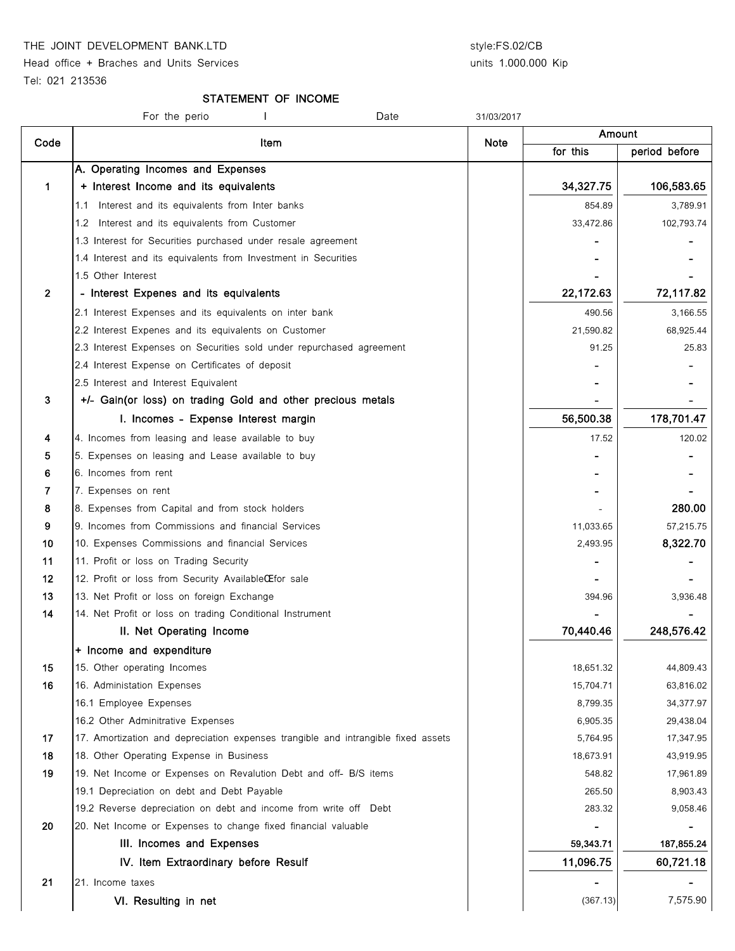THE JOINT DEVELOPMENT BANK.LTD style:FS.02/CB

Head office + Braches and Units Services

# units 1.000.000 Kip

Tel: 021 213536

#### STATEMENT OF INCOME

| Amount<br>Code<br>Item<br>Note<br>for this<br>A. Operating Incomes and Expenses<br>34,327.75<br>1<br>+ Interest Income and its equivalents<br>Interest and its equivalents from Inter banks<br>854.89<br>1.1<br>33,472.86<br>1.2 Interest and its equivalents from Customer<br>1.3 Interest for Securities purchased under resale agreement<br>1.4 Interest and its equivalents from Investment in Securities<br>1.5 Other Interest<br>$\overline{2}$<br>- Interest Expenes and its equivalents<br>22,172.63<br>2.1 Interest Expenses and its equivalents on inter bank<br>490.56<br>2.2 Interest Expenes and its equivalents on Customer<br>21,590.82<br>2.3 Interest Expenses on Securities sold under repurchased agreement<br>91.25<br>2.4 Interest Expense on Certificates of deposit<br>2.5 Interest and Interest Equivalent<br>3<br>+/- Gain(or loss) on trading Gold and other precious metals<br>56,500.38<br>I. Incomes - Expense Interest margin<br>4. Incomes from leasing and lease available to buy<br>4<br>17.52<br>5<br>5. Expenses on leasing and Lease available to buy<br>6. Incomes from rent<br>6<br>7<br>7. Expenses on rent<br>8<br>8. Expenses from Capital and from stock holders<br>9<br>11,033.65<br>9. Incomes from Commissions and financial Services<br>10<br>10. Expenses Commissions and financial Services<br>2,493.95<br>11<br>11. Profit or loss on Trading Security<br>12<br>12. Profit or loss from Security AvailableCEfor sale<br>13<br>13. Net Profit or loss on foreign Exchange<br>394.96<br>14<br>14. Net Profit or loss on trading Conditional Instrument<br>70,440.46<br>II. Net Operating Income<br>+ Income and expenditure<br>15<br>15. Other operating Incomes<br>18,651.32<br>16<br>16. Administation Expenses<br>15,704.71<br>16.1 Employee Expenses<br>8,799.35<br>16.2 Other Adminitrative Expenses<br>6,905.35<br>17<br>17. Amortization and depreciation expenses trangible and intrangible fixed assets<br>5,764.95<br>18<br>18. Other Operating Expense in Business<br>18,673.91<br>19<br>19. Net Income or Expenses on Revalution Debt and off- B/S items<br>548.82<br>19.1 Depreciation on debt and Debt Payable<br>265.50<br>19.2 Reverse depreciation on debt and income from write off Debt<br>283.32<br>20<br>20. Net Income or Expenses to change fixed financial valuable<br>III. Incomes and Expenses<br>59,343.71<br>11,096.75<br>IV. Item Extraordinary before Resulf<br>21<br>21. Income taxes<br>- | For the perio<br>Date | 31/03/2017 |          |               |
|--------------------------------------------------------------------------------------------------------------------------------------------------------------------------------------------------------------------------------------------------------------------------------------------------------------------------------------------------------------------------------------------------------------------------------------------------------------------------------------------------------------------------------------------------------------------------------------------------------------------------------------------------------------------------------------------------------------------------------------------------------------------------------------------------------------------------------------------------------------------------------------------------------------------------------------------------------------------------------------------------------------------------------------------------------------------------------------------------------------------------------------------------------------------------------------------------------------------------------------------------------------------------------------------------------------------------------------------------------------------------------------------------------------------------------------------------------------------------------------------------------------------------------------------------------------------------------------------------------------------------------------------------------------------------------------------------------------------------------------------------------------------------------------------------------------------------------------------------------------------------------------------------------------------------------------------------------------------------------------------------------------------------------------------------------------------------------------------------------------------------------------------------------------------------------------------------------------------------------------------------------------------------------------------------------------------------------------------------------------------------------------------------------------------------------------------------------------------------|-----------------------|------------|----------|---------------|
|                                                                                                                                                                                                                                                                                                                                                                                                                                                                                                                                                                                                                                                                                                                                                                                                                                                                                                                                                                                                                                                                                                                                                                                                                                                                                                                                                                                                                                                                                                                                                                                                                                                                                                                                                                                                                                                                                                                                                                                                                                                                                                                                                                                                                                                                                                                                                                                                                                                                          |                       |            |          |               |
|                                                                                                                                                                                                                                                                                                                                                                                                                                                                                                                                                                                                                                                                                                                                                                                                                                                                                                                                                                                                                                                                                                                                                                                                                                                                                                                                                                                                                                                                                                                                                                                                                                                                                                                                                                                                                                                                                                                                                                                                                                                                                                                                                                                                                                                                                                                                                                                                                                                                          |                       |            |          | period before |
|                                                                                                                                                                                                                                                                                                                                                                                                                                                                                                                                                                                                                                                                                                                                                                                                                                                                                                                                                                                                                                                                                                                                                                                                                                                                                                                                                                                                                                                                                                                                                                                                                                                                                                                                                                                                                                                                                                                                                                                                                                                                                                                                                                                                                                                                                                                                                                                                                                                                          |                       |            |          |               |
|                                                                                                                                                                                                                                                                                                                                                                                                                                                                                                                                                                                                                                                                                                                                                                                                                                                                                                                                                                                                                                                                                                                                                                                                                                                                                                                                                                                                                                                                                                                                                                                                                                                                                                                                                                                                                                                                                                                                                                                                                                                                                                                                                                                                                                                                                                                                                                                                                                                                          |                       |            |          | 106,583.65    |
|                                                                                                                                                                                                                                                                                                                                                                                                                                                                                                                                                                                                                                                                                                                                                                                                                                                                                                                                                                                                                                                                                                                                                                                                                                                                                                                                                                                                                                                                                                                                                                                                                                                                                                                                                                                                                                                                                                                                                                                                                                                                                                                                                                                                                                                                                                                                                                                                                                                                          |                       |            |          | 3,789.91      |
|                                                                                                                                                                                                                                                                                                                                                                                                                                                                                                                                                                                                                                                                                                                                                                                                                                                                                                                                                                                                                                                                                                                                                                                                                                                                                                                                                                                                                                                                                                                                                                                                                                                                                                                                                                                                                                                                                                                                                                                                                                                                                                                                                                                                                                                                                                                                                                                                                                                                          |                       |            |          | 102,793.74    |
|                                                                                                                                                                                                                                                                                                                                                                                                                                                                                                                                                                                                                                                                                                                                                                                                                                                                                                                                                                                                                                                                                                                                                                                                                                                                                                                                                                                                                                                                                                                                                                                                                                                                                                                                                                                                                                                                                                                                                                                                                                                                                                                                                                                                                                                                                                                                                                                                                                                                          |                       |            |          |               |
|                                                                                                                                                                                                                                                                                                                                                                                                                                                                                                                                                                                                                                                                                                                                                                                                                                                                                                                                                                                                                                                                                                                                                                                                                                                                                                                                                                                                                                                                                                                                                                                                                                                                                                                                                                                                                                                                                                                                                                                                                                                                                                                                                                                                                                                                                                                                                                                                                                                                          |                       |            |          |               |
|                                                                                                                                                                                                                                                                                                                                                                                                                                                                                                                                                                                                                                                                                                                                                                                                                                                                                                                                                                                                                                                                                                                                                                                                                                                                                                                                                                                                                                                                                                                                                                                                                                                                                                                                                                                                                                                                                                                                                                                                                                                                                                                                                                                                                                                                                                                                                                                                                                                                          |                       |            |          |               |
|                                                                                                                                                                                                                                                                                                                                                                                                                                                                                                                                                                                                                                                                                                                                                                                                                                                                                                                                                                                                                                                                                                                                                                                                                                                                                                                                                                                                                                                                                                                                                                                                                                                                                                                                                                                                                                                                                                                                                                                                                                                                                                                                                                                                                                                                                                                                                                                                                                                                          |                       |            |          | 72,117.82     |
|                                                                                                                                                                                                                                                                                                                                                                                                                                                                                                                                                                                                                                                                                                                                                                                                                                                                                                                                                                                                                                                                                                                                                                                                                                                                                                                                                                                                                                                                                                                                                                                                                                                                                                                                                                                                                                                                                                                                                                                                                                                                                                                                                                                                                                                                                                                                                                                                                                                                          |                       |            |          | 3,166.55      |
|                                                                                                                                                                                                                                                                                                                                                                                                                                                                                                                                                                                                                                                                                                                                                                                                                                                                                                                                                                                                                                                                                                                                                                                                                                                                                                                                                                                                                                                                                                                                                                                                                                                                                                                                                                                                                                                                                                                                                                                                                                                                                                                                                                                                                                                                                                                                                                                                                                                                          |                       |            |          | 68,925.44     |
|                                                                                                                                                                                                                                                                                                                                                                                                                                                                                                                                                                                                                                                                                                                                                                                                                                                                                                                                                                                                                                                                                                                                                                                                                                                                                                                                                                                                                                                                                                                                                                                                                                                                                                                                                                                                                                                                                                                                                                                                                                                                                                                                                                                                                                                                                                                                                                                                                                                                          |                       |            |          | 25.83         |
|                                                                                                                                                                                                                                                                                                                                                                                                                                                                                                                                                                                                                                                                                                                                                                                                                                                                                                                                                                                                                                                                                                                                                                                                                                                                                                                                                                                                                                                                                                                                                                                                                                                                                                                                                                                                                                                                                                                                                                                                                                                                                                                                                                                                                                                                                                                                                                                                                                                                          |                       |            |          |               |
|                                                                                                                                                                                                                                                                                                                                                                                                                                                                                                                                                                                                                                                                                                                                                                                                                                                                                                                                                                                                                                                                                                                                                                                                                                                                                                                                                                                                                                                                                                                                                                                                                                                                                                                                                                                                                                                                                                                                                                                                                                                                                                                                                                                                                                                                                                                                                                                                                                                                          |                       |            |          |               |
|                                                                                                                                                                                                                                                                                                                                                                                                                                                                                                                                                                                                                                                                                                                                                                                                                                                                                                                                                                                                                                                                                                                                                                                                                                                                                                                                                                                                                                                                                                                                                                                                                                                                                                                                                                                                                                                                                                                                                                                                                                                                                                                                                                                                                                                                                                                                                                                                                                                                          |                       |            |          |               |
|                                                                                                                                                                                                                                                                                                                                                                                                                                                                                                                                                                                                                                                                                                                                                                                                                                                                                                                                                                                                                                                                                                                                                                                                                                                                                                                                                                                                                                                                                                                                                                                                                                                                                                                                                                                                                                                                                                                                                                                                                                                                                                                                                                                                                                                                                                                                                                                                                                                                          |                       |            |          | 178,701.47    |
|                                                                                                                                                                                                                                                                                                                                                                                                                                                                                                                                                                                                                                                                                                                                                                                                                                                                                                                                                                                                                                                                                                                                                                                                                                                                                                                                                                                                                                                                                                                                                                                                                                                                                                                                                                                                                                                                                                                                                                                                                                                                                                                                                                                                                                                                                                                                                                                                                                                                          |                       |            |          | 120.02        |
|                                                                                                                                                                                                                                                                                                                                                                                                                                                                                                                                                                                                                                                                                                                                                                                                                                                                                                                                                                                                                                                                                                                                                                                                                                                                                                                                                                                                                                                                                                                                                                                                                                                                                                                                                                                                                                                                                                                                                                                                                                                                                                                                                                                                                                                                                                                                                                                                                                                                          |                       |            |          |               |
|                                                                                                                                                                                                                                                                                                                                                                                                                                                                                                                                                                                                                                                                                                                                                                                                                                                                                                                                                                                                                                                                                                                                                                                                                                                                                                                                                                                                                                                                                                                                                                                                                                                                                                                                                                                                                                                                                                                                                                                                                                                                                                                                                                                                                                                                                                                                                                                                                                                                          |                       |            |          |               |
|                                                                                                                                                                                                                                                                                                                                                                                                                                                                                                                                                                                                                                                                                                                                                                                                                                                                                                                                                                                                                                                                                                                                                                                                                                                                                                                                                                                                                                                                                                                                                                                                                                                                                                                                                                                                                                                                                                                                                                                                                                                                                                                                                                                                                                                                                                                                                                                                                                                                          |                       |            |          |               |
|                                                                                                                                                                                                                                                                                                                                                                                                                                                                                                                                                                                                                                                                                                                                                                                                                                                                                                                                                                                                                                                                                                                                                                                                                                                                                                                                                                                                                                                                                                                                                                                                                                                                                                                                                                                                                                                                                                                                                                                                                                                                                                                                                                                                                                                                                                                                                                                                                                                                          |                       |            |          | 280.00        |
|                                                                                                                                                                                                                                                                                                                                                                                                                                                                                                                                                                                                                                                                                                                                                                                                                                                                                                                                                                                                                                                                                                                                                                                                                                                                                                                                                                                                                                                                                                                                                                                                                                                                                                                                                                                                                                                                                                                                                                                                                                                                                                                                                                                                                                                                                                                                                                                                                                                                          |                       |            |          | 57,215.75     |
|                                                                                                                                                                                                                                                                                                                                                                                                                                                                                                                                                                                                                                                                                                                                                                                                                                                                                                                                                                                                                                                                                                                                                                                                                                                                                                                                                                                                                                                                                                                                                                                                                                                                                                                                                                                                                                                                                                                                                                                                                                                                                                                                                                                                                                                                                                                                                                                                                                                                          |                       |            |          | 8,322.70      |
|                                                                                                                                                                                                                                                                                                                                                                                                                                                                                                                                                                                                                                                                                                                                                                                                                                                                                                                                                                                                                                                                                                                                                                                                                                                                                                                                                                                                                                                                                                                                                                                                                                                                                                                                                                                                                                                                                                                                                                                                                                                                                                                                                                                                                                                                                                                                                                                                                                                                          |                       |            |          |               |
|                                                                                                                                                                                                                                                                                                                                                                                                                                                                                                                                                                                                                                                                                                                                                                                                                                                                                                                                                                                                                                                                                                                                                                                                                                                                                                                                                                                                                                                                                                                                                                                                                                                                                                                                                                                                                                                                                                                                                                                                                                                                                                                                                                                                                                                                                                                                                                                                                                                                          |                       |            |          |               |
|                                                                                                                                                                                                                                                                                                                                                                                                                                                                                                                                                                                                                                                                                                                                                                                                                                                                                                                                                                                                                                                                                                                                                                                                                                                                                                                                                                                                                                                                                                                                                                                                                                                                                                                                                                                                                                                                                                                                                                                                                                                                                                                                                                                                                                                                                                                                                                                                                                                                          |                       |            |          | 3,936.48      |
|                                                                                                                                                                                                                                                                                                                                                                                                                                                                                                                                                                                                                                                                                                                                                                                                                                                                                                                                                                                                                                                                                                                                                                                                                                                                                                                                                                                                                                                                                                                                                                                                                                                                                                                                                                                                                                                                                                                                                                                                                                                                                                                                                                                                                                                                                                                                                                                                                                                                          |                       |            |          |               |
|                                                                                                                                                                                                                                                                                                                                                                                                                                                                                                                                                                                                                                                                                                                                                                                                                                                                                                                                                                                                                                                                                                                                                                                                                                                                                                                                                                                                                                                                                                                                                                                                                                                                                                                                                                                                                                                                                                                                                                                                                                                                                                                                                                                                                                                                                                                                                                                                                                                                          |                       |            |          | 248,576.42    |
|                                                                                                                                                                                                                                                                                                                                                                                                                                                                                                                                                                                                                                                                                                                                                                                                                                                                                                                                                                                                                                                                                                                                                                                                                                                                                                                                                                                                                                                                                                                                                                                                                                                                                                                                                                                                                                                                                                                                                                                                                                                                                                                                                                                                                                                                                                                                                                                                                                                                          |                       |            |          |               |
|                                                                                                                                                                                                                                                                                                                                                                                                                                                                                                                                                                                                                                                                                                                                                                                                                                                                                                                                                                                                                                                                                                                                                                                                                                                                                                                                                                                                                                                                                                                                                                                                                                                                                                                                                                                                                                                                                                                                                                                                                                                                                                                                                                                                                                                                                                                                                                                                                                                                          |                       |            |          | 44,809.43     |
|                                                                                                                                                                                                                                                                                                                                                                                                                                                                                                                                                                                                                                                                                                                                                                                                                                                                                                                                                                                                                                                                                                                                                                                                                                                                                                                                                                                                                                                                                                                                                                                                                                                                                                                                                                                                                                                                                                                                                                                                                                                                                                                                                                                                                                                                                                                                                                                                                                                                          |                       |            |          | 63,816.02     |
|                                                                                                                                                                                                                                                                                                                                                                                                                                                                                                                                                                                                                                                                                                                                                                                                                                                                                                                                                                                                                                                                                                                                                                                                                                                                                                                                                                                                                                                                                                                                                                                                                                                                                                                                                                                                                                                                                                                                                                                                                                                                                                                                                                                                                                                                                                                                                                                                                                                                          |                       |            |          | 34,377.97     |
|                                                                                                                                                                                                                                                                                                                                                                                                                                                                                                                                                                                                                                                                                                                                                                                                                                                                                                                                                                                                                                                                                                                                                                                                                                                                                                                                                                                                                                                                                                                                                                                                                                                                                                                                                                                                                                                                                                                                                                                                                                                                                                                                                                                                                                                                                                                                                                                                                                                                          |                       |            |          | 29,438.04     |
|                                                                                                                                                                                                                                                                                                                                                                                                                                                                                                                                                                                                                                                                                                                                                                                                                                                                                                                                                                                                                                                                                                                                                                                                                                                                                                                                                                                                                                                                                                                                                                                                                                                                                                                                                                                                                                                                                                                                                                                                                                                                                                                                                                                                                                                                                                                                                                                                                                                                          |                       |            |          | 17,347.95     |
|                                                                                                                                                                                                                                                                                                                                                                                                                                                                                                                                                                                                                                                                                                                                                                                                                                                                                                                                                                                                                                                                                                                                                                                                                                                                                                                                                                                                                                                                                                                                                                                                                                                                                                                                                                                                                                                                                                                                                                                                                                                                                                                                                                                                                                                                                                                                                                                                                                                                          |                       |            |          | 43,919.95     |
|                                                                                                                                                                                                                                                                                                                                                                                                                                                                                                                                                                                                                                                                                                                                                                                                                                                                                                                                                                                                                                                                                                                                                                                                                                                                                                                                                                                                                                                                                                                                                                                                                                                                                                                                                                                                                                                                                                                                                                                                                                                                                                                                                                                                                                                                                                                                                                                                                                                                          |                       |            |          | 17,961.89     |
|                                                                                                                                                                                                                                                                                                                                                                                                                                                                                                                                                                                                                                                                                                                                                                                                                                                                                                                                                                                                                                                                                                                                                                                                                                                                                                                                                                                                                                                                                                                                                                                                                                                                                                                                                                                                                                                                                                                                                                                                                                                                                                                                                                                                                                                                                                                                                                                                                                                                          |                       |            |          | 8,903.43      |
|                                                                                                                                                                                                                                                                                                                                                                                                                                                                                                                                                                                                                                                                                                                                                                                                                                                                                                                                                                                                                                                                                                                                                                                                                                                                                                                                                                                                                                                                                                                                                                                                                                                                                                                                                                                                                                                                                                                                                                                                                                                                                                                                                                                                                                                                                                                                                                                                                                                                          |                       |            |          | 9,058.46      |
|                                                                                                                                                                                                                                                                                                                                                                                                                                                                                                                                                                                                                                                                                                                                                                                                                                                                                                                                                                                                                                                                                                                                                                                                                                                                                                                                                                                                                                                                                                                                                                                                                                                                                                                                                                                                                                                                                                                                                                                                                                                                                                                                                                                                                                                                                                                                                                                                                                                                          |                       |            |          |               |
|                                                                                                                                                                                                                                                                                                                                                                                                                                                                                                                                                                                                                                                                                                                                                                                                                                                                                                                                                                                                                                                                                                                                                                                                                                                                                                                                                                                                                                                                                                                                                                                                                                                                                                                                                                                                                                                                                                                                                                                                                                                                                                                                                                                                                                                                                                                                                                                                                                                                          |                       |            |          | 187,855.24    |
|                                                                                                                                                                                                                                                                                                                                                                                                                                                                                                                                                                                                                                                                                                                                                                                                                                                                                                                                                                                                                                                                                                                                                                                                                                                                                                                                                                                                                                                                                                                                                                                                                                                                                                                                                                                                                                                                                                                                                                                                                                                                                                                                                                                                                                                                                                                                                                                                                                                                          |                       |            |          | 60,721.18     |
|                                                                                                                                                                                                                                                                                                                                                                                                                                                                                                                                                                                                                                                                                                                                                                                                                                                                                                                                                                                                                                                                                                                                                                                                                                                                                                                                                                                                                                                                                                                                                                                                                                                                                                                                                                                                                                                                                                                                                                                                                                                                                                                                                                                                                                                                                                                                                                                                                                                                          |                       |            |          |               |
|                                                                                                                                                                                                                                                                                                                                                                                                                                                                                                                                                                                                                                                                                                                                                                                                                                                                                                                                                                                                                                                                                                                                                                                                                                                                                                                                                                                                                                                                                                                                                                                                                                                                                                                                                                                                                                                                                                                                                                                                                                                                                                                                                                                                                                                                                                                                                                                                                                                                          | VI. Resulting in net  |            | (367.13) | 7,575.90      |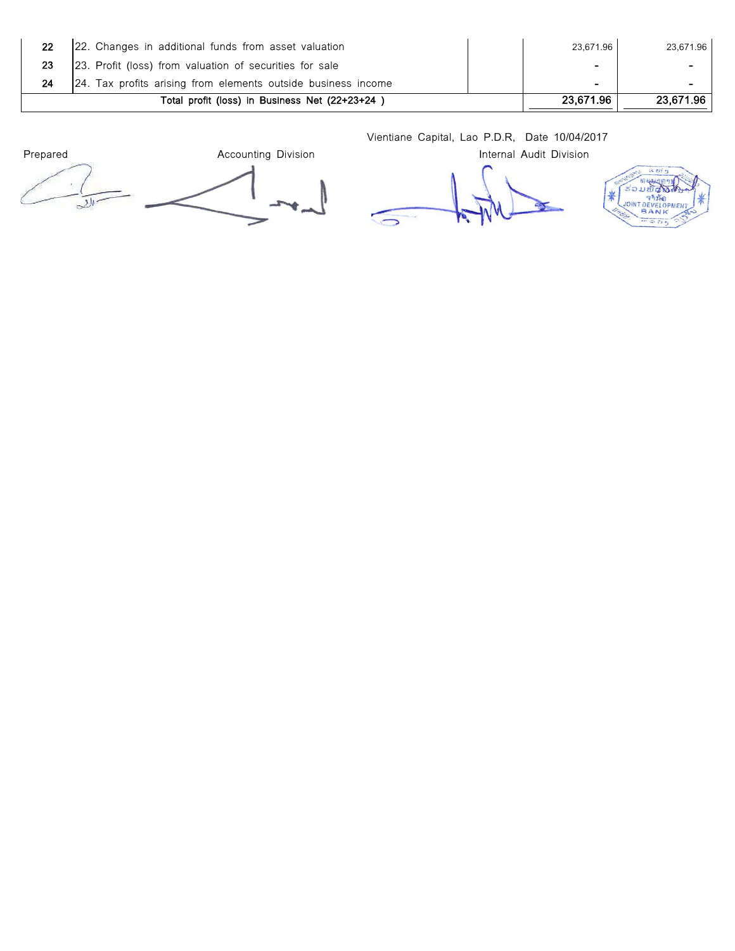| 22 | 22. Changes in additional funds from asset valuation          | 23.671.96      | 23,671.96 |
|----|---------------------------------------------------------------|----------------|-----------|
| 23 | 23. Profit (loss) from valuation of securities for sale       | -              |           |
|    | 24. Tax profits arising from elements outside business income | $\blacksquare$ | -         |
|    | Total profit (loss) in Business Net (22+23+24)                | 23,671.96      | 23.671.96 |

Vientiane Capital, Lao P.D.R, Date 10/04/2017

Prepared **Accounting Division Accounting Division Internal Audit Division** 

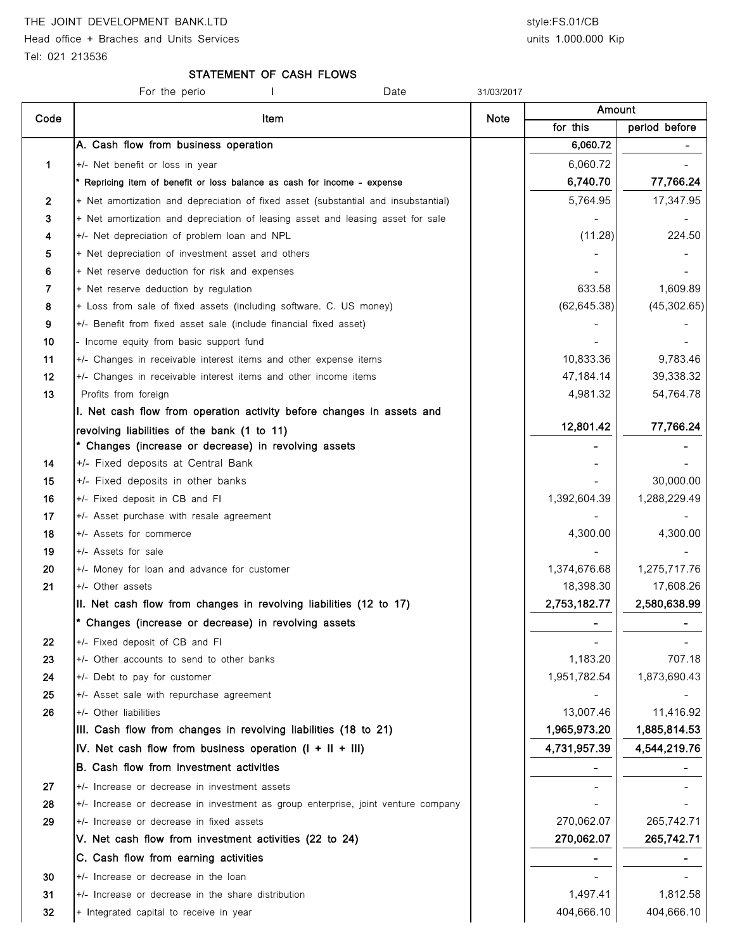# THE JOINT DEVELOPMENT BANK.LTD style:FS.01/CB

Head office + Braches and Units Services and Units 3.000.000 Kip

## STATEMENT OF CASH FLOWS

|      | For the perio<br>Date                                                              | 31/03/2017 |              |               |
|------|------------------------------------------------------------------------------------|------------|--------------|---------------|
| Code | Item                                                                               | Note       | Amount       |               |
|      |                                                                                    |            | for this     | period before |
|      | A. Cash flow from business operation                                               |            | 6,060.72     |               |
| 1    | +/- Net benefit or loss in year                                                    |            | 6,060.72     |               |
|      | * Repricing item of benefit or loss balance as cash for income - expense           |            | 6,740.70     | 77,766.24     |
| 2    | + Net amortization and depreciation of fixed asset (substantial and insubstantial) |            | 5,764.95     | 17,347.95     |
| 3    | + Net amortization and depreciation of leasing asset and leasing asset for sale    |            |              |               |
| 4    | +/- Net depreciation of problem loan and NPL                                       |            | (11.28)      | 224.50        |
| 5    | + Net depreciation of investment asset and others                                  |            |              |               |
| 6    | + Net reserve deduction for risk and expenses                                      |            |              |               |
| 7    | + Net reserve deduction by regulation                                              |            | 633.58       | 1,609.89      |
| 8    | + Loss from sale of fixed assets (including software. C. US money)                 |            | (62, 645.38) | (45, 302.65)  |
| 9    | +/- Benefit from fixed asset sale (include financial fixed asset)                  |            |              |               |
| 10   | - Income equity from basic support fund                                            |            |              |               |
| 11   | +/- Changes in receivable interest items and other expense items                   |            | 10,833.36    | 9,783.46      |
| 12   | +/- Changes in receivable interest items and other income items                    |            | 47,184.14    | 39,338.32     |
| 13   | Profits from foreign                                                               |            | 4,981.32     | 54,764.78     |
|      | I. Net cash flow from operation activity before changes in assets and              |            |              |               |
|      | revolving liabilities of the bank (1 to 11)                                        |            | 12,801.42    | 77,766.24     |
|      | * Changes (increase or decrease) in revolving assets                               |            |              |               |
| 14   | +/- Fixed deposits at Central Bank                                                 |            |              |               |
| 15   | +/- Fixed deposits in other banks                                                  |            |              | 30,000.00     |
| 16   | +/- Fixed deposit in CB and FI                                                     |            | 1,392,604.39 | 1,288,229.49  |
| 17   | +/- Asset purchase with resale agreement                                           |            |              |               |
| 18   | +/- Assets for commerce                                                            |            | 4,300.00     | 4,300.00      |
| 19   | +/- Assets for sale                                                                |            |              |               |
| 20   | +/- Money for loan and advance for customer                                        |            | 1,374,676.68 | 1,275,717.76  |
| 21   | +/- Other assets                                                                   |            | 18,398.30    | 17,608.26     |
|      | II. Net cash flow from changes in revolving liabilities (12 to 17)                 |            | 2,753,182.77 | 2,580,638.99  |
|      | * Changes (increase or decrease) in revolving assets                               |            |              |               |
| 22   | +/- Fixed deposit of CB and FI                                                     |            |              |               |
| 23   | +/- Other accounts to send to other banks                                          |            | 1,183.20     | 707.18        |
| 24   | +/- Debt to pay for customer                                                       |            | 1,951,782.54 | 1,873,690.43  |
| 25   | +/- Asset sale with repurchase agreement                                           |            |              |               |
| 26   | +/- Other liabilities                                                              |            | 13,007.46    | 11,416.92     |
|      | III. Cash flow from changes in revolving liabilities (18 to 21)                    |            | 1,965,973.20 | 1,885,814.53  |
|      | IV. Net cash flow from business operation $(I + II + III)$                         |            | 4,731,957.39 | 4,544,219.76  |
|      | B. Cash flow from investment activities                                            |            |              |               |
| 27   | +/- Increase or decrease in investment assets                                      |            |              |               |
| 28   | +/- Increase or decrease in investment as group enterprise, joint venture company  |            |              |               |
| 29   | +/- Increase or decrease in fixed assets                                           |            | 270,062.07   | 265,742.71    |
|      | V. Net cash flow from investment activities (22 to 24)                             |            | 270,062.07   | 265,742.71    |
|      | C. Cash flow from earning activities                                               |            |              |               |
| 30   | +/- Increase or decrease in the loan                                               |            |              |               |
| 31   | +/- Increase or decrease in the share distribution                                 |            | 1,497.41     | 1,812.58      |
| 32   | + Integrated capital to receive in year                                            |            | 404,666.10   | 404,666.10    |